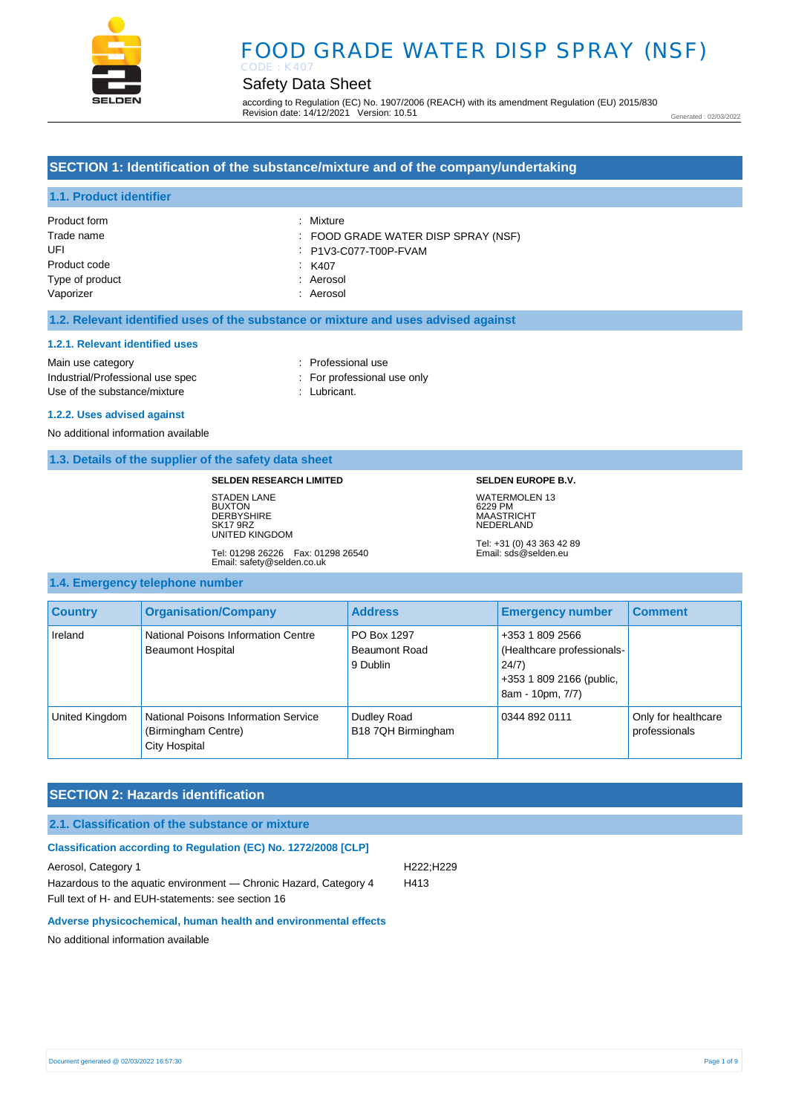

# Safety Data Sheet

according to Regulation (EC) No. 1907/2006 (REACH) with its amendment Regulation (EU) 2015/830 Revision date: 14/12/2021 Version: 10.51

Generated : 02/03/2022

# **SECTION 1: Identification of the substance/mixture and of the company/undertaking**

#### **1.1. Product identifier**

| Product form    | : Mixture                         |
|-----------------|-----------------------------------|
| Trade name      | FOOD GRADE WATER DISP SPRAY (NSF) |
| UFI             | : P1V3-C077-T00P-FVAM             |
| Product code    | K407                              |
| Type of product | : Aerosol                         |
| Vaporizer       | : Aerosol                         |

#### **1.2. Relevant identified uses of the substance or mixture and uses advised against**

#### **1.2.1. Relevant identified uses**

Main use category **Example 20** and the Professional use Industrial/Professional use spec : For professional use only Use of the substance/mixture : Lubricant.

- 
- 

#### **1.2.2. Uses advised against**

No additional information available

#### **1.3. Details of the supplier of the safety data sheet**

#### **SELDEN RESEARCH LIMITED**

STADEN LANE **BUXTON DERBYSHIRE** SK17 9RZ UNITED KINGDOM

Tel: 01298 26226 Fax: 01298 26540 Email: safety@selden.co.uk

**SELDEN EUROPE B.V.** WATERMOLEN 13 6229 PM MAASTRICHT NEDERLAND

Tel: +31 (0) 43 363 42 89 Email: sds@selden.eu

#### **1.4. Emergency telephone number**

| <b>Country</b> | <b>Organisation/Company</b>                                                         | <b>Address</b>                                  | <b>Emergency number</b>                                                                                | <b>Comment</b>                       |
|----------------|-------------------------------------------------------------------------------------|-------------------------------------------------|--------------------------------------------------------------------------------------------------------|--------------------------------------|
| Ireland        | National Poisons Information Centre<br><b>Beaumont Hospital</b>                     | PO Box 1297<br><b>Beaumont Road</b><br>9 Dublin | +353 1 809 2566<br>(Healthcare professionals-<br>24/7)<br>+353 1 809 2166 (public,<br>8am - 10pm, 7/7) |                                      |
| United Kingdom | National Poisons Information Service<br>(Birmingham Centre)<br><b>City Hospital</b> | Dudley Road<br>B18 7QH Birmingham               | 0344 892 0111                                                                                          | Only for healthcare<br>professionals |

#### **SECTION 2: Hazards identification**

#### **2.1. Classification of the substance or mixture**

#### **Classification according to Regulation (EC) No. 1272/2008 [CLP]**

Aerosol, Category 1 **H222**;H229 Hazardous to the aquatic environment - Chronic Hazard, Category 4 H413 Full text of H- and EUH-statements: see section 16

#### **Adverse physicochemical, human health and environmental effects**

No additional information available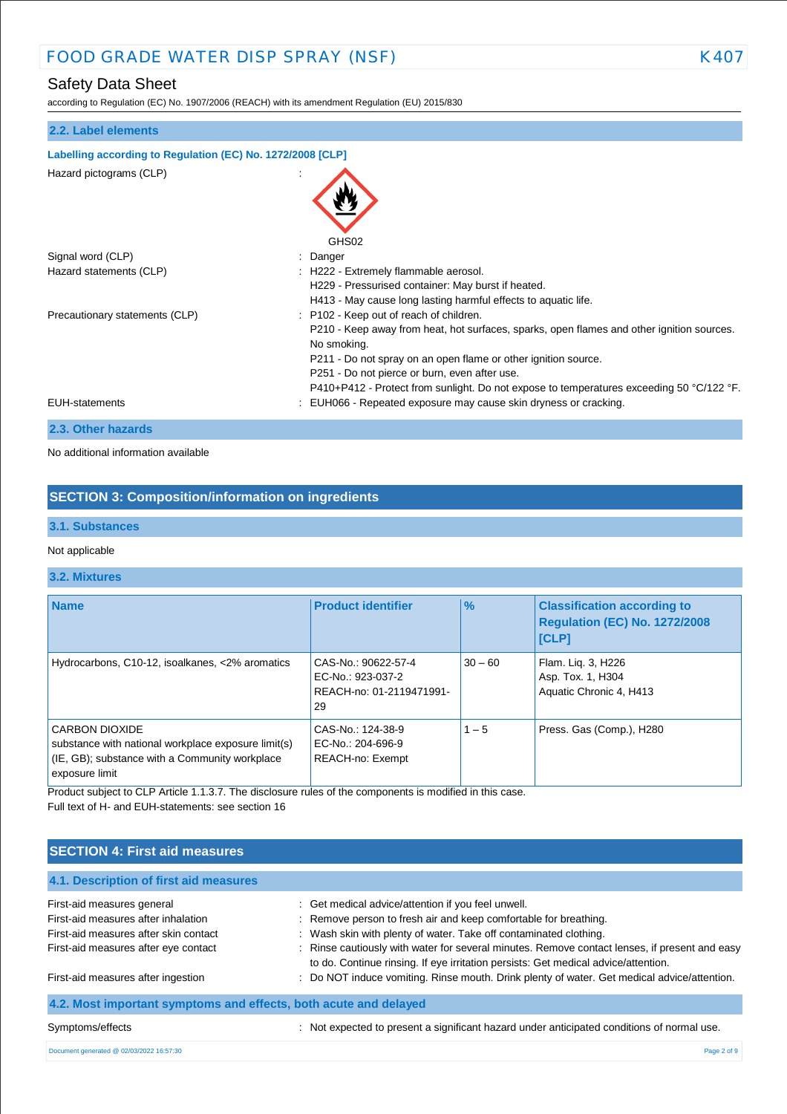# Safety Data Sheet

according to Regulation (EC) No. 1907/2006 (REACH) with its amendment Regulation (EU) 2015/830

| 2.2. Label elements                                        |                                                                                                                                                                                                                                                                                                                                                                    |
|------------------------------------------------------------|--------------------------------------------------------------------------------------------------------------------------------------------------------------------------------------------------------------------------------------------------------------------------------------------------------------------------------------------------------------------|
| Labelling according to Regulation (EC) No. 1272/2008 [CLP] |                                                                                                                                                                                                                                                                                                                                                                    |
| Hazard pictograms (CLP)                                    |                                                                                                                                                                                                                                                                                                                                                                    |
| Signal word (CLP)                                          | GHS02<br>Danger                                                                                                                                                                                                                                                                                                                                                    |
| Hazard statements (CLP)                                    | : H222 - Extremely flammable aerosol.<br>H229 - Pressurised container: May burst if heated.<br>H413 - May cause long lasting harmful effects to aquatic life.                                                                                                                                                                                                      |
| Precautionary statements (CLP)<br><b>EUH-statements</b>    | : P102 - Keep out of reach of children.<br>P210 - Keep away from heat, hot surfaces, sparks, open flames and other ignition sources.<br>No smoking.<br>P211 - Do not spray on an open flame or other ignition source.<br>P251 - Do not pierce or burn, even after use.<br>P410+P412 - Protect from sunlight. Do not expose to temperatures exceeding 50 °C/122 °F. |
|                                                            | : EUH066 - Repeated exposure may cause skin dryness or cracking.                                                                                                                                                                                                                                                                                                   |
| 2.3. Other hazards                                         |                                                                                                                                                                                                                                                                                                                                                                    |

No additional information available

# **SECTION 3: Composition/information on ingredients**

#### **3.1. Substances**

#### Not applicable

#### **3.2. Mixtures**

| <b>Name</b>                                                                                                                                      | <b>Product identifier</b>                                                  | $\frac{9}{6}$ | <b>Classification according to</b><br><b>Regulation (EC) No. 1272/2008</b><br><b>[CLP]</b> |
|--------------------------------------------------------------------------------------------------------------------------------------------------|----------------------------------------------------------------------------|---------------|--------------------------------------------------------------------------------------------|
| Hydrocarbons, C10-12, isoalkanes, <2% aromatics                                                                                                  | CAS-No.: 90622-57-4<br>EC-No.: 923-037-2<br>REACH-no: 01-2119471991-<br>29 | $30 - 60$     | Flam. Lig. 3, H226<br>Asp. Tox. 1, H304<br>Aquatic Chronic 4, H413                         |
| <b>CARBON DIOXIDE</b><br>substance with national workplace exposure limit(s)<br>(IE, GB); substance with a Community workplace<br>exposure limit | CAS-No.: 124-38-9<br>EC-No.: 204-696-9<br>REACH-no: Exempt                 | $1 - 5$       | Press. Gas (Comp.), H280                                                                   |

Product subject to CLP Article 1.1.3.7. The disclosure rules of the components is modified in this case. Full text of H- and EUH-statements: see section 16

# **SECTION 4: First aid measures**

| 4.1. Description of first aid measures                           |                                                                                                                                                                                     |
|------------------------------------------------------------------|-------------------------------------------------------------------------------------------------------------------------------------------------------------------------------------|
| First-aid measures general                                       | : Get medical advice/attention if you feel unwell.                                                                                                                                  |
| First-aid measures after inhalation                              | : Remove person to fresh air and keep comfortable for breathing.                                                                                                                    |
| First-aid measures after skin contact                            | : Wash skin with plenty of water. Take off contaminated clothing.                                                                                                                   |
| First-aid measures after eye contact                             | : Rinse cautiously with water for several minutes. Remove contact lenses, if present and easy<br>to do. Continue rinsing. If eye irritation persists: Get medical advice/attention. |
| First-aid measures after ingestion                               | : Do NOT induce vomiting. Rinse mouth. Drink plenty of water. Get medical advice/attention.                                                                                         |
| 4.2. Most important symptoms and effects, both acute and delayed |                                                                                                                                                                                     |
| Symptoms/effects                                                 | Not expected to present a significant hazard under anticipated conditions of normal use.                                                                                            |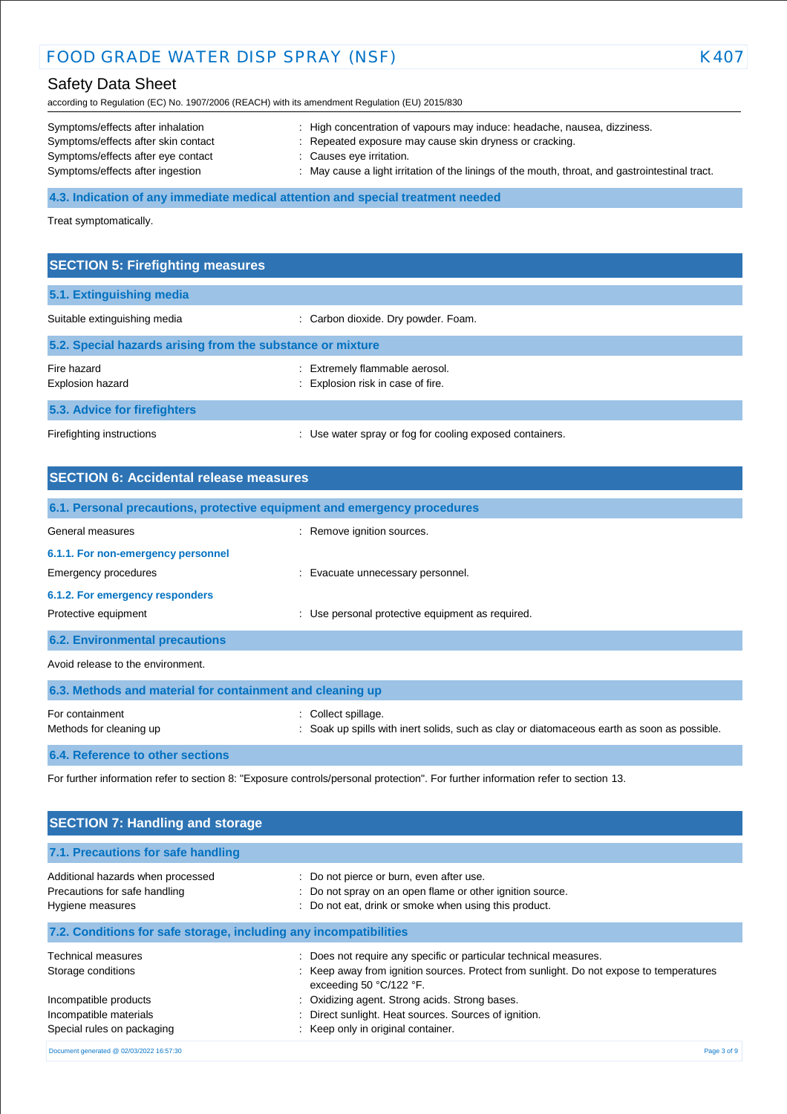| FOOD GRADE WATER DISP SPRAY (NSF)                                                                                                                                            |                                                                                                                                                                                                                                                                                                                                                     | K407 |
|------------------------------------------------------------------------------------------------------------------------------------------------------------------------------|-----------------------------------------------------------------------------------------------------------------------------------------------------------------------------------------------------------------------------------------------------------------------------------------------------------------------------------------------------|------|
| <b>Safety Data Sheet</b><br>according to Regulation (EC) No. 1907/2006 (REACH) with its amendment Regulation (EU) 2015/830                                                   |                                                                                                                                                                                                                                                                                                                                                     |      |
| Symptoms/effects after inhalation<br>Symptoms/effects after skin contact<br>Symptoms/effects after eye contact<br>Symptoms/effects after ingestion<br>Treat symptomatically. | : High concentration of vapours may induce: headache, nausea, dizziness.<br>Repeated exposure may cause skin dryness or cracking.<br>: Causes eye irritation.<br>: May cause a light irritation of the linings of the mouth, throat, and gastrointestinal tract.<br>4.3. Indication of any immediate medical attention and special treatment needed |      |
| <b>SECTION 5: Firefighting measures</b>                                                                                                                                      |                                                                                                                                                                                                                                                                                                                                                     |      |
| 5.1. Extinguishing media                                                                                                                                                     |                                                                                                                                                                                                                                                                                                                                                     |      |
| Suitable extinguishing media                                                                                                                                                 | : Carbon dioxide. Dry powder. Foam.                                                                                                                                                                                                                                                                                                                 |      |
| 5.2. Special hazards arising from the substance or mixture                                                                                                                   |                                                                                                                                                                                                                                                                                                                                                     |      |
| Fire hazard<br>Explosion hazard                                                                                                                                              | : Extremely flammable aerosol.<br>: Explosion risk in case of fire.                                                                                                                                                                                                                                                                                 |      |
| 5.3. Advice for firefighters                                                                                                                                                 |                                                                                                                                                                                                                                                                                                                                                     |      |
| Firefighting instructions                                                                                                                                                    | : Use water spray or fog for cooling exposed containers.                                                                                                                                                                                                                                                                                            |      |
| <b>SECTION 6: Accidental release measures</b>                                                                                                                                |                                                                                                                                                                                                                                                                                                                                                     |      |
|                                                                                                                                                                              | 6.1. Personal precautions, protective equipment and emergency procedures                                                                                                                                                                                                                                                                            |      |
| General measures                                                                                                                                                             | : Remove ignition sources.                                                                                                                                                                                                                                                                                                                          |      |
| 6.1.1. For non-emergency personnel                                                                                                                                           |                                                                                                                                                                                                                                                                                                                                                     |      |
| Emergency procedures                                                                                                                                                         | : Evacuate unnecessary personnel.                                                                                                                                                                                                                                                                                                                   |      |
| 6.1.2. For emergency responders                                                                                                                                              |                                                                                                                                                                                                                                                                                                                                                     |      |
| Protective equipment                                                                                                                                                         | : Use personal protective equipment as required.                                                                                                                                                                                                                                                                                                    |      |

**6.2. Environmental precautions**

Avoid release to the environment.

| 6.3. Methods and material for containment and cleaning up |                                                                                                                    |
|-----------------------------------------------------------|--------------------------------------------------------------------------------------------------------------------|
| For containment<br>Methods for cleaning up                | : Collect spillage.<br>: Soak up spills with inert solids, such as clay or diatomaceous earth as soon as possible. |
| <b>6.4. Reference to other sections</b>                   |                                                                                                                    |

For further information refer to section 8: "Exposure controls/personal protection". For further information refer to section 13.

| <b>SECTION 7: Handling and storage</b>                                                 |                                                                                                                                                                                         |
|----------------------------------------------------------------------------------------|-----------------------------------------------------------------------------------------------------------------------------------------------------------------------------------------|
| 7.1. Precautions for safe handling                                                     |                                                                                                                                                                                         |
| Additional hazards when processed<br>Precautions for safe handling<br>Hygiene measures | : Do not pierce or burn, even after use.<br>: Do not spray on an open flame or other ignition source.<br>: Do not eat, drink or smoke when using this product.                          |
| 7.2. Conditions for safe storage, including any incompatibilities                      |                                                                                                                                                                                         |
| Technical measures<br>Storage conditions                                               | : Does not require any specific or particular technical measures.<br>: Keep away from ignition sources. Protect from sunlight. Do not expose to temperatures<br>exceeding 50 °C/122 °F. |
| Incompatible products<br>Incompatible materials<br>Special rules on packaging          | Oxidizing agent. Strong acids. Strong bases.<br>÷<br>Direct sunlight. Heat sources. Sources of ignition.<br>÷<br>: Keep only in original container.                                     |
| Document generated @ 02/03/2022 16:57:30                                               | Page 3 of 9                                                                                                                                                                             |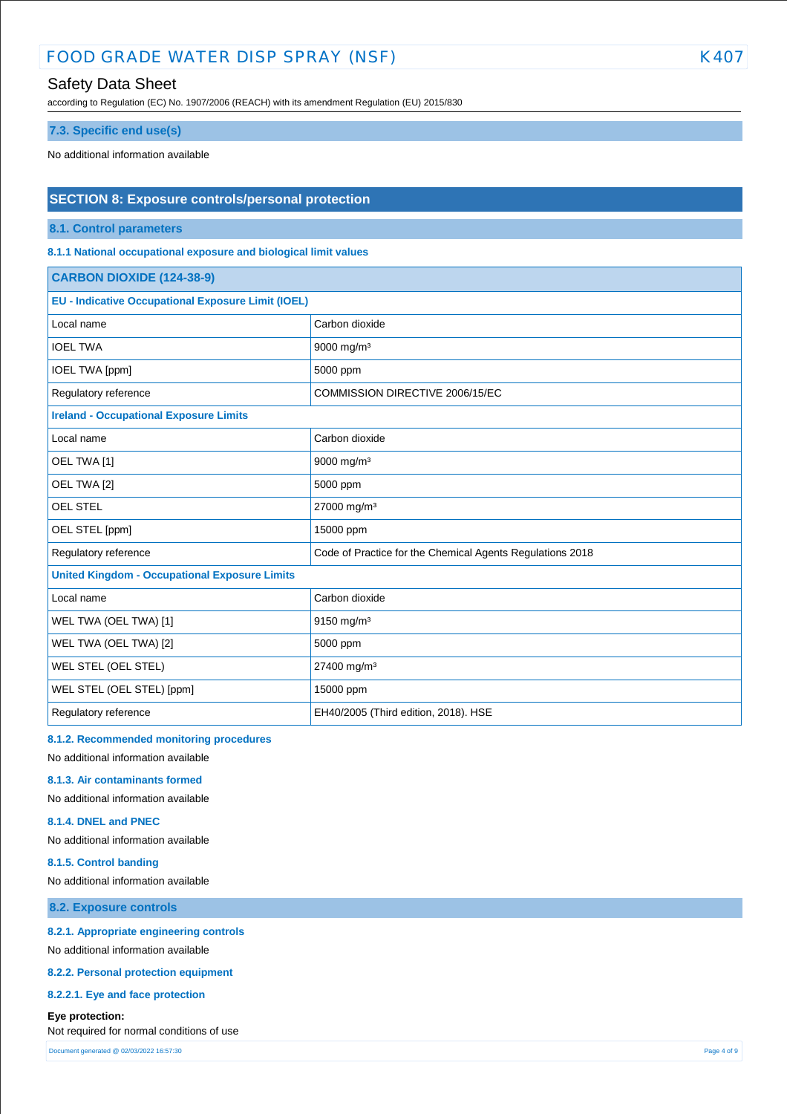# Safety Data Sheet

according to Regulation (EC) No. 1907/2006 (REACH) with its amendment Regulation (EU) 2015/830

#### **7.3. Specific end use(s)**

No additional information available

#### **SECTION 8: Exposure controls/personal protection**

**8.1. Control parameters**

**8.1.1 National occupational exposure and biological limit values**

| <b>CARBON DIOXIDE (124-38-9)</b>                          |                                                           |  |
|-----------------------------------------------------------|-----------------------------------------------------------|--|
| <b>EU - Indicative Occupational Exposure Limit (IOEL)</b> |                                                           |  |
| Local name                                                | Carbon dioxide                                            |  |
| <b>IOEL TWA</b>                                           | 9000 mg/m <sup>3</sup>                                    |  |
| IOEL TWA [ppm]                                            | 5000 ppm                                                  |  |
| Regulatory reference                                      | COMMISSION DIRECTIVE 2006/15/EC                           |  |
| <b>Ireland - Occupational Exposure Limits</b>             |                                                           |  |
| Local name                                                | Carbon dioxide                                            |  |
| OEL TWA [1]                                               | 9000 mg/m <sup>3</sup>                                    |  |
| OEL TWA [2]                                               | 5000 ppm                                                  |  |
| OEL STEL                                                  | 27000 mg/m <sup>3</sup>                                   |  |
| OEL STEL [ppm]                                            | 15000 ppm                                                 |  |
| Regulatory reference                                      | Code of Practice for the Chemical Agents Regulations 2018 |  |
| <b>United Kingdom - Occupational Exposure Limits</b>      |                                                           |  |
| Local name                                                | Carbon dioxide                                            |  |
| WEL TWA (OEL TWA) [1]                                     | $9150$ mg/m <sup>3</sup>                                  |  |
| WEL TWA (OEL TWA) [2]                                     | 5000 ppm                                                  |  |
| WEL STEL (OEL STEL)                                       | 27400 mg/m <sup>3</sup>                                   |  |
| WEL STEL (OEL STEL) [ppm]                                 | 15000 ppm                                                 |  |
| Regulatory reference                                      | EH40/2005 (Third edition, 2018). HSE                      |  |

#### **8.1.2. Recommended monitoring procedures**

No additional information available

#### **8.1.3. Air contaminants formed**

No additional information available

#### **8.1.4. DNEL and PNEC**

No additional information available

#### **8.1.5. Control banding**

No additional information available

# **8.2. Exposure controls**

#### **8.2.1. Appropriate engineering controls**

No additional information available

#### **8.2.2. Personal protection equipment**

#### **8.2.2.1. Eye and face protection**

**Eye protection:**

Not required for normal conditions of use

Document generated @ 02/03/2022 16:57:30 Page 4 of 9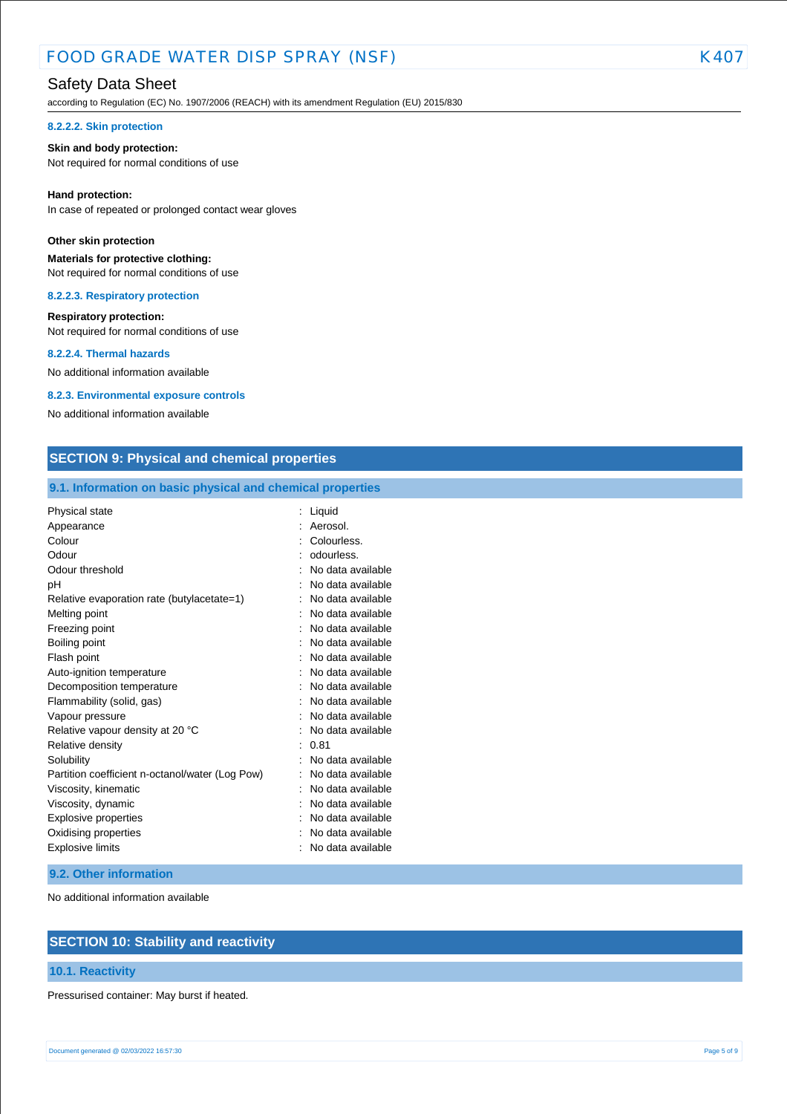# Safety Data Sheet

according to Regulation (EC) No. 1907/2006 (REACH) with its amendment Regulation (EU) 2015/830

#### **8.2.2.2. Skin protection**

#### **Skin and body protection:**

Not required for normal conditions of use

#### **Hand protection:**

In case of repeated or prolonged contact wear gloves

#### **Other skin protection**

**Materials for protective clothing:** Not required for normal conditions of use

**8.2.2.3. Respiratory protection**

# **Respiratory protection:**

Not required for normal conditions of use

#### **8.2.2.4. Thermal hazards**

No additional information available

#### **8.2.3. Environmental exposure controls**

No additional information available

### **SECTION 9: Physical and chemical properties**

#### **9.1. Information on basic physical and chemical properties**

| Physical state                                  | Liquid            |
|-------------------------------------------------|-------------------|
| Appearance                                      | Aerosol.          |
| Colour                                          | Colourless.       |
| Odour                                           | odourless.        |
| Odour threshold                                 | No data available |
| рH                                              | No data available |
| Relative evaporation rate (butylacetate=1)      | No data available |
| Melting point                                   | No data available |
| Freezing point                                  | No data available |
| Boiling point                                   | No data available |
| Flash point                                     | No data available |
| Auto-ignition temperature                       | No data available |
| Decomposition temperature                       | No data available |
| Flammability (solid, gas)                       | No data available |
| Vapour pressure                                 | No data available |
| Relative vapour density at 20 °C                | No data available |
| Relative density                                | 0.81              |
| Solubility                                      | No data available |
| Partition coefficient n-octanol/water (Log Pow) | No data available |
| Viscosity, kinematic                            | No data available |
| Viscosity, dynamic                              | No data available |
| Explosive properties                            | No data available |
| Oxidising properties                            | No data available |
| <b>Explosive limits</b>                         | No data available |

#### **9.2. Other information**

No additional information available

# **SECTION 10: Stability and reactivity**

#### **10.1. Reactivity**

Pressurised container: May burst if heated.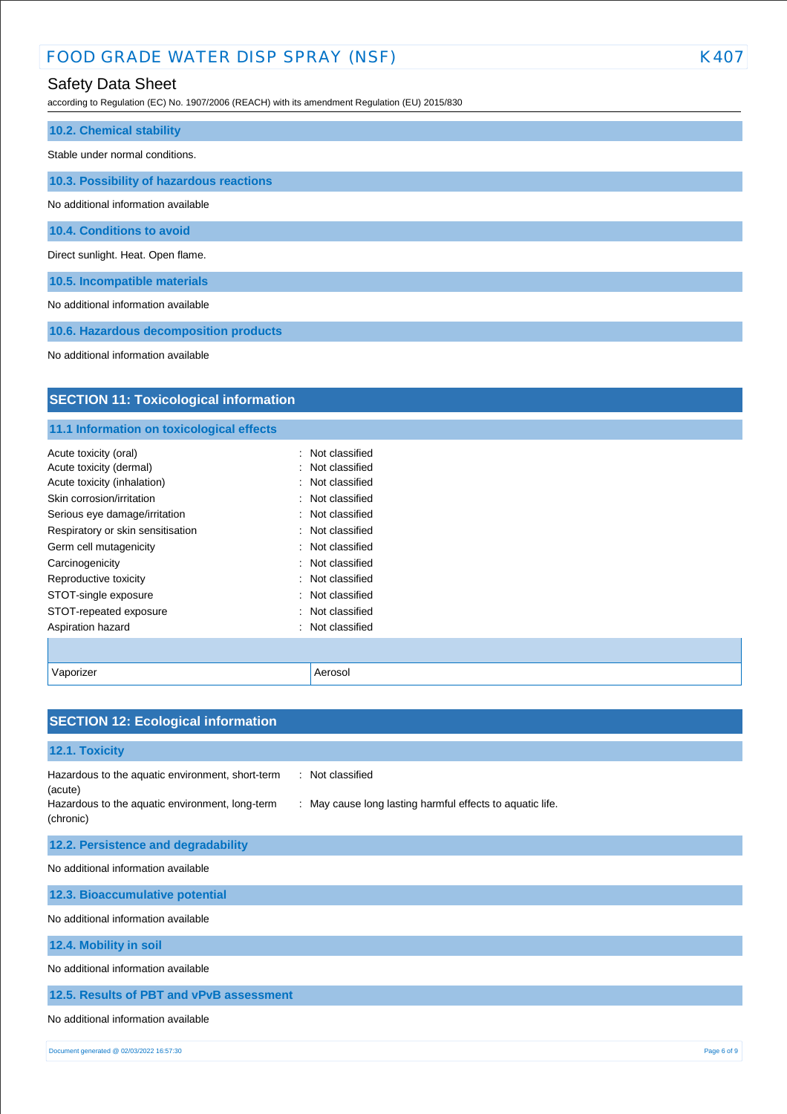# Safety Data Sheet

according to Regulation (EC) No. 1907/2006 (REACH) with its amendment Regulation (EU) 2015/830

| <b>10.2. Chemical stability</b>          |
|------------------------------------------|
| Stable under normal conditions.          |
| 10.3. Possibility of hazardous reactions |
| No additional information available      |
| 10.4. Conditions to avoid                |
| Direct sunlight. Heat. Open flame.       |
| 10.5. Incompatible materials             |
| No additional information available      |
| 10.6. Hazardous decomposition products   |

No additional information available

# **SECTION 11: Toxicological information**

# **11.1 Information on toxicological effects**

| Acute toxicity (oral)             | : Not classified |
|-----------------------------------|------------------|
| Acute toxicity (dermal)           | : Not classified |
| Acute toxicity (inhalation)       | : Not classified |
| Skin corrosion/irritation         | : Not classified |
| Serious eye damage/irritation     | : Not classified |
| Respiratory or skin sensitisation | : Not classified |
| Germ cell mutagenicity            | : Not classified |
| Carcinogenicity                   | : Not classified |
| Reproductive toxicity             | : Not classified |
| STOT-single exposure              | : Not classified |
| STOT-repeated exposure            | : Not classified |
| Aspiration hazard                 | : Not classified |
|                                   |                  |
| Vaporizer                         | Aerosol          |

| <b>SECTION 12: Ecological information</b>                                                                                                                                                                    |
|--------------------------------------------------------------------------------------------------------------------------------------------------------------------------------------------------------------|
| 12.1. Toxicity                                                                                                                                                                                               |
| : Not classified<br>Hazardous to the aquatic environment, short-term<br>(acute)<br>Hazardous to the aquatic environment, long-term<br>: May cause long lasting harmful effects to aquatic life.<br>(chronic) |
| 12.2. Persistence and degradability                                                                                                                                                                          |
| No additional information available                                                                                                                                                                          |
| 12.3. Bioaccumulative potential                                                                                                                                                                              |
| No additional information available                                                                                                                                                                          |
| 12.4. Mobility in soil                                                                                                                                                                                       |
| No additional information available                                                                                                                                                                          |
| 12.5. Results of PBT and vPvB assessment                                                                                                                                                                     |
| No additional information available                                                                                                                                                                          |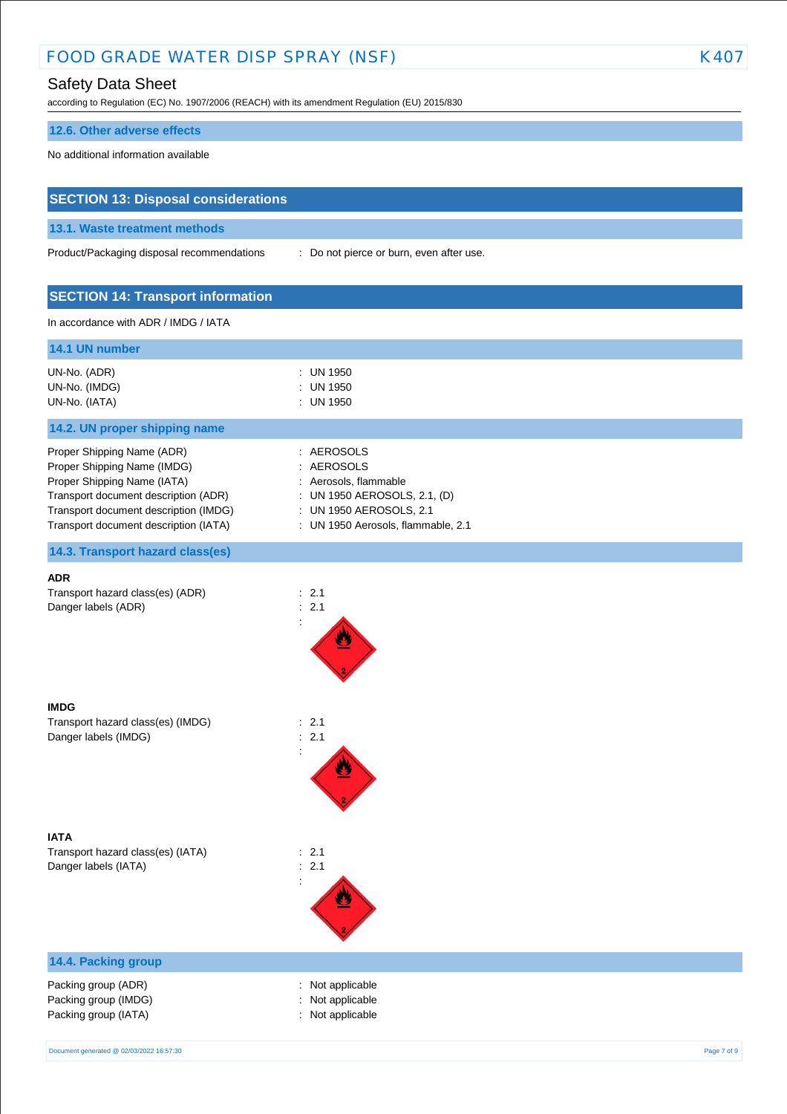# Safety Data Sheet

according to Regulation (EC) No. 1907/2006 (REACH) with its amendment Regulation (EU) 2015/830

#### **12.6. Other adverse effects**

No additional information available

# **SECTION 13: Disposal considerations**

#### **13.1. Waste treatment methods**

Product/Packaging disposal recommendations : Do not pierce or burn, even after use.

# **SECTION 14: Transport information**

#### In accordance with ADR / IMDG / IATA

| 14.1 UN number                        |                                    |
|---------------------------------------|------------------------------------|
| UN-No. (ADR)                          | $\therefore$ UN 1950               |
| UN-No. (IMDG)                         | : UN 1950                          |
| UN-No. (IATA)                         | : UN 1950                          |
| 14.2. UN proper shipping name         |                                    |
| Proper Shipping Name (ADR)            | : AEROSOLS                         |
| Proper Shipping Name (IMDG)           | : AEROSOLS                         |
| Proper Shipping Name (IATA)           | : Aerosols, flammable              |
| Transport document description (ADR)  | : UN 1950 AEROSOLS, 2.1, (D)       |
| Transport document description (IMDG) | : UN 1950 AEROSOLS, 2.1            |
| Transport document description (IATA) | : UN 1950 Aerosols, flammable, 2.1 |

#### **14.3. Transport hazard class(es)**

# **ADR** Transport hazard class(es) (ADR) : 2.1 Danger labels (ADR) : 2.1 **IMDG** Transport hazard class(es) (IMDG) : 2.1 Danger labels (IMDG)  $\qquad \qquad$  : 2.1



:

**IATA** Transport hazard class(es) (IATA) : 2.1<br>Danger labels (IATA) : 2.1 Danger labels (IATA)

# :

# **14.4. Packing group**

Packing group (ADR) **in the case of the case of the case of the case of the case of the case of the case of the case of the case of the case of the case of the case of the case of the case of the case of the case of the ca** Packing group (IMDG) **in the case of the case of the case of the case of the case of the case of the case of the case of the case of the case of the case of the case of the case of the case of the case of the case of the c** Packing group (IATA) **in the case of the case of the case of the case of the case of the case of the case of the case of the case of the case of the case of the case of the case of the case of the case of the case of the c**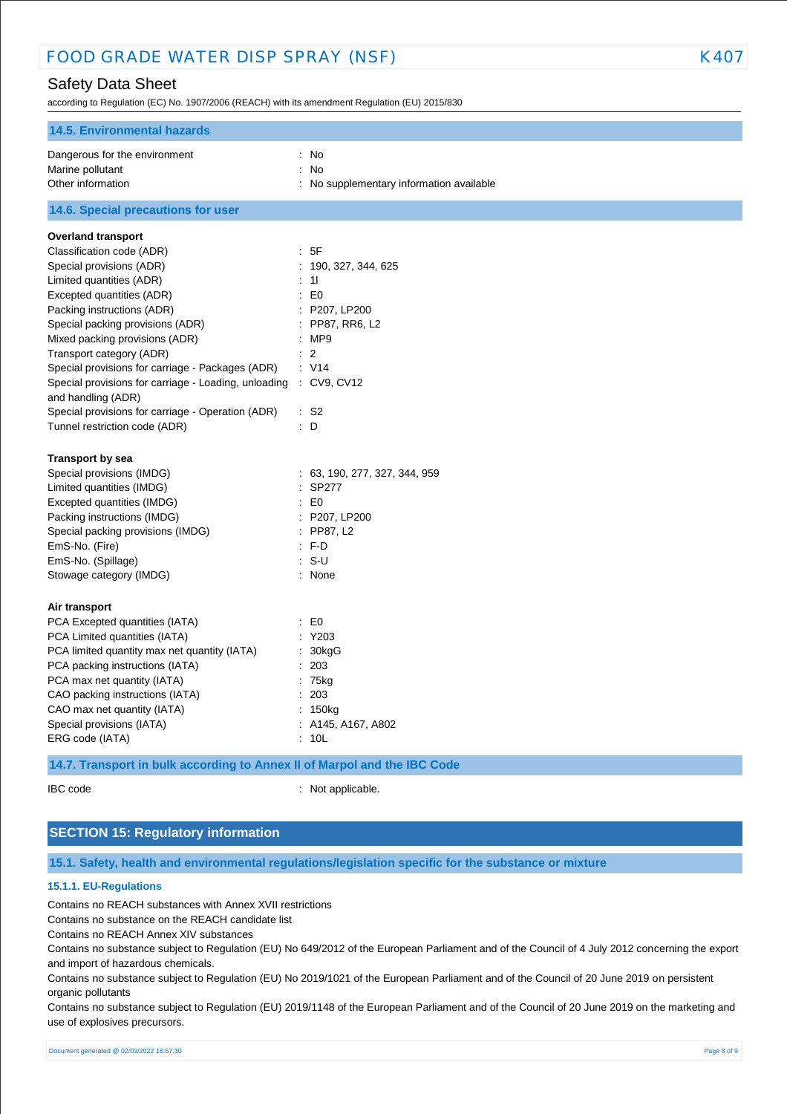# Safety Data Sheet

according to Regulation (EC) No. 1907/2006 (REACH) with its amendment Regulation (EU) 2015/830

| <b>14.5. Environmental hazards</b>                                                     |                                          |
|----------------------------------------------------------------------------------------|------------------------------------------|
| Dangerous for the environment                                                          | : No                                     |
| Marine pollutant                                                                       | : No                                     |
| Other information                                                                      | : No supplementary information available |
| 14.6. Special precautions for user                                                     |                                          |
| <b>Overland transport</b>                                                              |                                          |
| Classification code (ADR)                                                              | : 5F                                     |
| Special provisions (ADR)                                                               | 190, 327, 344, 625                       |
| Limited quantities (ADR)                                                               | 11                                       |
| Excepted quantities (ADR)                                                              | $\mathbf{E}$ = E0                        |
| Packing instructions (ADR)                                                             | : P207, LP200                            |
| Special packing provisions (ADR)                                                       | $:$ PP87, RR6, L2                        |
| Mixed packing provisions (ADR)                                                         | :MP9                                     |
| Transport category (ADR)                                                               | $\therefore$ 2                           |
| Special provisions for carriage - Packages (ADR)                                       | : V14                                    |
| Special provisions for carriage - Loading, unloading : CV9, CV12<br>and handling (ADR) |                                          |
| Special provisions for carriage - Operation (ADR)                                      | $\therefore$ S2                          |
| Tunnel restriction code (ADR)                                                          | : D                                      |
| Transport by sea                                                                       |                                          |
| Special provisions (IMDG)                                                              | : 63, 190, 277, 327, 344, 959            |
| Limited quantities (IMDG)                                                              | SP277                                    |
| Excepted quantities (IMDG)                                                             | $\therefore$ EO                          |
| Packing instructions (IMDG)                                                            | : P207, LP200                            |
| Special packing provisions (IMDG)                                                      | $:$ PP87, L2                             |
| EmS-No. (Fire)                                                                         | $: F-D$                                  |
| EmS-No. (Spillage)                                                                     | $: S-U$                                  |
| Stowage category (IMDG)                                                                | : None                                   |
| Air transport                                                                          |                                          |
| PCA Excepted quantities (IATA)                                                         | $\pm 50$                                 |
| PCA Limited quantities (IATA)                                                          | : Y203                                   |
| PCA limited quantity max net quantity (IATA)                                           | : 30kgG                                  |
| PCA packing instructions (IATA)                                                        | 203                                      |
| PCA max net quantity (IATA)                                                            | $: 75$ kg                                |
| CAO packing instructions (IATA)                                                        | : 203                                    |
| CAO max net quantity (IATA)                                                            | 150kg                                    |
| Special provisions (IATA)                                                              | : A145, A167, A802                       |
| ERG code (IATA)                                                                        | : 10L                                    |
| 14.7. Transport in bulk according to Annex II of Marpol and the IBC Code               |                                          |

IBC code : Not applicable.

# **SECTION 15: Regulatory information**

# **15.1. Safety, health and environmental regulations/legislation specific for the substance or mixture**

#### **15.1.1. EU-Regulations**

Contains no REACH substances with Annex XVII restrictions

Contains no substance on the REACH candidate list

Contains no REACH Annex XIV substances

Contains no substance subject to Regulation (EU) No 649/2012 of the European Parliament and of the Council of 4 July 2012 concerning the export and import of hazardous chemicals.

Contains no substance subject to Regulation (EU) No 2019/1021 of the European Parliament and of the Council of 20 June 2019 on persistent organic pollutants

Contains no substance subject to Regulation (EU) 2019/1148 of the European Parliament and of the Council of 20 June 2019 on the marketing and use of explosives precursors.